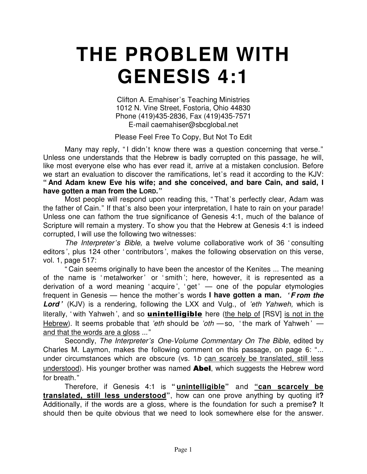## **THE PROBLEM WITH GENESIS 4:1**

Clifton A. Emahiser's Teaching Ministries 1012 N. Vine Street, Fostoria, Ohio 44830 Phone (419)435-2836, Fax (419)435-7571 E-mail caemahiser@sbcglobal.net

Please Feel Free To Copy, But Not To Edit

Many may reply, "I didn't know there was a question concerning that verse." Unless one understands that the Hebrew is badly corrupted on this passage, he will, like most everyone else who has ever read it, arrive at a mistaken conclusion. Before we start an evaluation to discover the ramifications, let's read it according to the KJV: **" And Adam knew Eve his wife; and she conceived, and bare Cain, and said, I have gotten a man from the LORD."**

Most people will respond upon reading this, " That's perfectly clear, Adam was the father of Cain." If that's also been your interpretation, I hate to rain on your parade! Unless one can fathom the true significance of Genesis 4:1, much of the balance of Scripture will remain a mystery. To show you that the Hebrew at Genesis 4:1 is indeed corrupted, I will use the following two witnesses:

*The Interpreter's Bible,* a twelve volume collaborative work of 36 ' consulting editors ', plus 124 other ' contributors ', makes the following observation on this verse, vol. 1, page 517:

" Cain seems originally to have been the ancestor of the Kenites ... The meaning of the name is 'metalworker' or 'smith'; here, however, it is represented as a derivation of a word meaning 'acquire', 'get'  $-$  one of the popular etymologies frequent in Genesis — hence the mother's words **I have gotten a man***. ' F rom the Lord '* (KJV) is a rendering, following the LXX and Vulg., of *'eth Yahweh,* which is literally, 'with Yahweh', and so **unintelligible** here (the help of [RSV] is not in the Hebrew). It seems probable that *'eth* should be *'oth* — so, 'the mark of Yahweh ' and that the words are a gloss ..."

Secondly, *The Interpreter's One-Volume Commentary On The Bible*, edited by Charles M. Laymon, makes the following comment on this passage, on page 6: "... under circumstances which are obscure (vs. 1*b* can scarcely be translated, still less understood). His younger brother was named **Abel**, which suggests the Hebrew word for breath."

Therefore, if Genesis 4:1 is **" unintelligible"** and **"can scarcely be translated, still less understood"**, how can one prove anything by quoting it**?** Additionally, if the words are a gloss, where is the foundation for such a premise**?** It should then be quite obvious that we need to look somewhere else for the answer.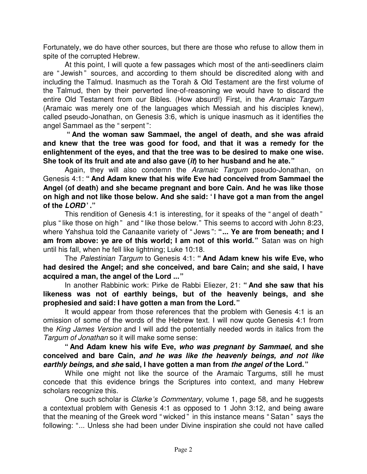Fortunately, we do have other sources, but there are those who refuse to allow them in spite of the corrupted Hebrew.

At this point, I will quote a few passages which most of the anti-seedliners claim are " Jewish " sources, and according to them should be discredited along with and including the Talmud. Inasmuch as the Torah & Old Testament are the first volume of the Talmud, then by their perverted line-of-reasoning we would have to discard the entire Old Testament from our Bibles. (How absurd!) First, in the *Aramaic Targum* (Aramaic was merely one of the languages which Messiah and his disciples knew), called pseudo-Jonathan, on Genesis 3:6, which is unique inasmuch as it identifies the angel Sammael as the " serpent ":

**" And the woman saw Sammael, the angel of death, and she was afraid and knew that the tree was good for food, and that it was a remedy for the enlightenment of the eyes, and that the tree was to be desired to make one wise. She took of its fruit and ate and also gave (***it***) to her husband and he ate."**

Again, they will also condemn the *Aramaic Targum* pseudo-Jonathan, on Genesis 4:1: **" And Adam knew that his wife Eve had conceived from Sammael the Angel (of death) and she became pregnant and bore Cain. And he was like those on high and not like those below. And she said: ' I have got a man from the angel of the** *LORD* **' ."**

This rendition of Genesis 4:1 is interesting, for it speaks of the " angel of death " plus "like those on high " and "like those below." This seems to accord with John 8:23, where Yahshua told the Canaanite variety of " Jews ": **" ... Ye are from beneath; and I am from above: ye are of this world; I am not of this world."** Satan was on high until his fall, when he fell like lightning; Luke 10:18.

The *Palestinian Targum* to Genesis 4:1: **" And Adam knew his wife Eve, who had desired the Angel; and she conceived, and bare Cain; and she said, I have acquired a man, the angel of the Lord ..."**

In another Rabbinic work: Pirke de Rabbi Eliezer, 21: **" And she saw that his likeness was not of earthly beings, but of the heavenly beings, and she prophesied and said: I have gotten a man from the Lord."**

It would appear from those references that the problem with Genesis 4:1 is an omission of some of the words of the Hebrew text. I will now quote Genesis 4:1 from the *King James Version* and I will add the potentially needed words in italics from the *Targum of Jonathan* so it will make some sense:

**" And Adam knew his wife Eve,** *who was pregnant by Sammael***, and she conceived and bare Cain,** *and he was like the heavenly beings, and not like earthly beings,* **and** *she* **said, I have gotten a man from** *the angel of* **the Lord."**

While one might not like the source of the Aramaic Targums, still he must concede that this evidence brings the Scriptures into context, and many Hebrew scholars recognize this.

One such scholar is *Clarke's Commentary,* volume 1, page 58, and he suggests a contextual problem with Genesis 4:1 as opposed to 1 John 3:12, and being aware that the meaning of the Greek word " wicked " in this instance means " Satan " says the following: "... Unless she had been under Divine inspiration she could not have called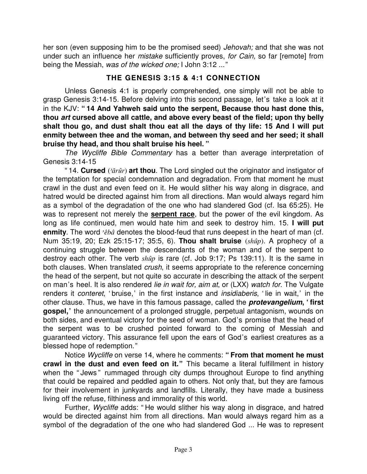her son (even supposing him to be the promised seed) *Jehovah;* and that she was not under such an influence her *mistake* sufficiently proves, *for Cain,* so far [remote] from being the Messiah, *was of the wicked one;* I John 3:12 ..."

## **THE GENESIS 3:15 & 4:1 CONNECTION**

Unless Genesis 4:1 is properly comprehended, one simply will not be able to grasp Genesis 3:14-15. Before delving into this second passage, let's take a look at it in the KJV: **" 14 And Yahweh said unto the serpent, Because thou hast done this, thou** *art* **cursed above all cattle, and above every beast of the field; upon thy belly shalt thou go, and dust shalt thou eat all the days of thy life: 15 And I will put enmity between thee and the woman, and between thy seed and her seed; it shall bruise thy head, and thou shalt bruise his heel. "**

*The Wycliffe Bible Commentary* has a better than average interpretation of Genesis 3:14-15

"14. **Cursed**  $(\text{arair})$  art thou. The Lord singled out the originator and instigator of the temptation for special condemnation and degradation. From that moment he must crawl in the dust and even feed on it. He would slither his way along in disgrace, and hatred would be directed against him from all directions. Man would always regard him as a symbol of the degradation of the one who had slandered God (cf. Isa 65:25). He was to represent not merely the **serpent race**, but the power of the evil kingdom. As long as life continued, men would hate him and seek to destroy him. 15. **I will put** enmity. The word *`êbâ* denotes the blood-feud that runs deepest in the heart of man (cf. Num 35:19, 20; Ezk 25:15-17; 35:5, 6). **Thou shalt bruise** (shup). A prophecy of a continuing struggle between the descendants of the woman and of the serpent to destroy each other. The verb  $sh\hat{u}p$  is rare (cf. Job 9:17; Ps 139:11). It is the same in both clauses. When translated *crush*, it seems appropriate to the reference concerning the head of the serpent, but not quite so accurate in describing the attack of the serpent on man's heel. It is also rendered *lie in wait for, aim at*, or (LXX) *watch for*. The Vulgate renders it *conteret*, 'bruise,' in the first instance and *insidiaberis*, 'lie in wait,' in the other clause. Thus, we have in this famous passage, called the *protevangelium***, ' first gospel,'** the announcement of a prolonged struggle, perpetual antagonism, wounds on both sides, and eventual victory for the seed of woman. God's promise that the head of the serpent was to be crushed pointed forward to the coming of Messiah and guaranteed victory. This assurance fell upon the ears of God's earliest creatures as a blessed hope of redemption."

Notice *Wycliffe* on verse 14, where he comments: " From that moment he must **crawl in the dust and even feed on it."** This became a literal fulfillment in history when the "Jews" rummaged through city dumps throughout Europe to find anything that could be repaired and peddled again to others. Not only that, but they are famous for their involvement in junkyards and landfills. Literally, they have made a business living off the refuse, filthiness and immorality of this world.

Further, *Wycliffe* adds: " He would slither his way along in disgrace, and hatred would be directed against him from all directions. Man would always regard him as a symbol of the degradation of the one who had slandered God ... He was to represent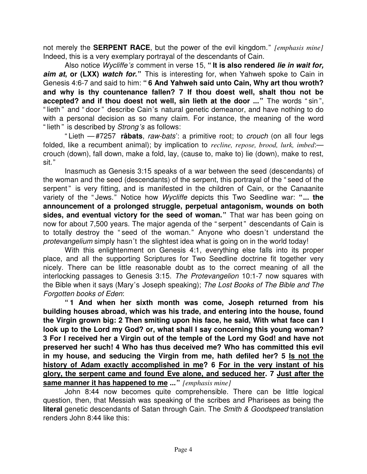not merely the **SERPENT RACE**, but the power of the evil kingdom." *[emphasis mine]* Indeed, this is a very exemplary portrayal of the descendants of Cain.

Also notice *Wycliffe's* comment in verse 15, **" It is also rendered** *lie in wait for, aim at***, or (LXX)** *watch for***."** This is interesting for, when Yahweh spoke to Cain in Genesis 4:6-7 and said to him: **" 6 And Yahweh said unto Cain, Why art thou wroth? and why is thy countenance fallen? 7 If thou doest well, shalt thou not be accepted? and if thou doest not well, sin lieth at the door ..."** The words " sin ", "lieth " and " door " describe Cain's natural genetic demeanor, and have nothing to do with a personal decision as so many claim. For instance, the meaning of the word "lieth " is described by *Strong's* as follows:

" Lieth — #7257 **râbats**, *raw-bats*': a primitive root; to *crouch* (on all four legs folded, like a recumbent animal); by implication to *recline, repose, brood, lurk, imbed*: crouch (down), fall down, make a fold, lay, (cause to, make to) lie (down), make to rest, sit."

Inasmuch as Genesis 3:15 speaks of a war between the seed (descendants) of the woman and the seed (descendants) of the serpent, this portrayal of the " seed of the serpent" is very fitting, and is manifested in the children of Cain, or the Canaanite variety of the " Jews." Notice how *Wycliffe* depicts this Two Seedline war: **" ... the announcement of a prolonged struggle, perpetual antagonism, wounds on both sides, and eventual victory for the seed of woman."** That war has been going on now for about 7,500 years. The major agenda of the " serpent" descendants of Cain is to totally destroy the " seed of the woman." Anyone who doesn't understand the *protevangelium* simply hasn't the slightest idea what is going on in the world today!

With this enlightenment on Genesis 4:1, everything else falls into its proper place, and all the supporting Scriptures for Two Seedline doctrine fit together very nicely. There can be little reasonable doubt as to the correct meaning of all the interlocking passages to Genesis 3:15. *The Protevangelion* 10:1-7 now squares with the Bible when it says (Mary's Joseph speaking); *The Lost Books of The Bible and The Forgotten books of Eden*:

**" 1 And when her sixth month was come, Joseph returned from his building houses abroad, which was his trade, and entering into the house, found the Virgin grown big: 2 Then smiting upon his face, he said, With what face can I look up to the Lord my God? or, what shall I say concerning this young woman? 3 For I received her a Virgin out of the temple of the Lord my God! and have not preserved her such! 4 Who has thus deceived me? Who has committed this evil in my house, and seducing the Virgin from me, hath defiled her? 5 Is not the history of Adam exactly accomplished in me? 6 For in the very instant of his glory, the serpent came and found Eve alone, and seduced her. 7 Just after the same manner it has happened to me ..."** *[emphasis mine]*

John 8:44 now becomes quite comprehensible. There can be little logical question, then, that Messiah was speaking of the scribes and Pharisees as being the **literal** genetic descendants of Satan through Cain. The *Smith & Goodspeed* translation renders John 8:44 like this: